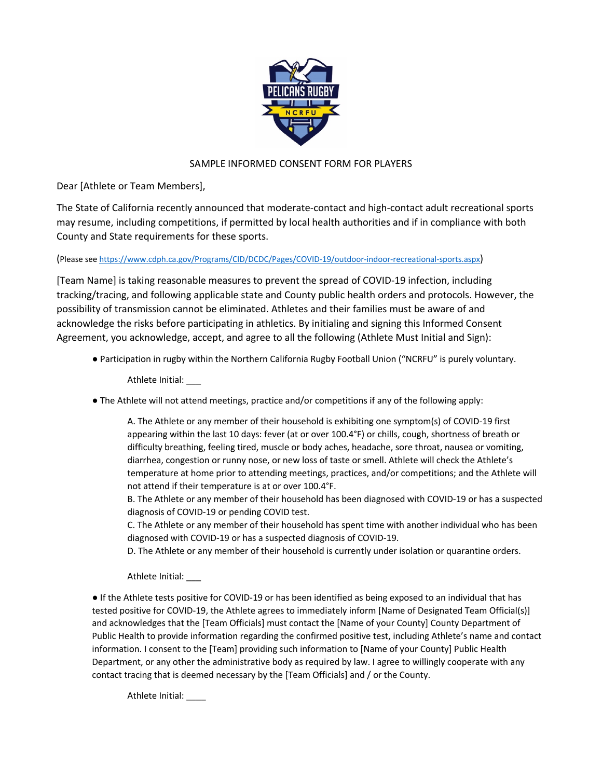

## SAMPLE INFORMED CONSENT FORM FOR PLAYERS

Dear [Athlete or Team Members],

The State of California recently announced that moderate-contact and high-contact adult recreational sports may resume, including competitions, if permitted by local health authorities and if in compliance with both County and State requirements for these sports.

(Please see https://www.cdph.ca.gov/Programs/CID/DCDC/Pages/COVID-19/outdoor-indoor-recreational-sports.aspx)

[Team Name] is taking reasonable measures to prevent the spread of COVID-19 infection, including tracking/tracing, and following applicable state and County public health orders and protocols. However, the possibility of transmission cannot be eliminated. Athletes and their families must be aware of and acknowledge the risks before participating in athletics. By initialing and signing this Informed Consent Agreement, you acknowledge, accept, and agree to all the following (Athlete Must Initial and Sign):

● Participation in rugby within the Northern California Rugby Football Union ("NCRFU" is purely voluntary.

Athlete Initial: \_\_\_

● The Athlete will not attend meetings, practice and/or competitions if any of the following apply:

A. The Athlete or any member of their household is exhibiting one symptom(s) of COVID-19 first appearing within the last 10 days: fever (at or over 100.4°F) or chills, cough, shortness of breath or difficulty breathing, feeling tired, muscle or body aches, headache, sore throat, nausea or vomiting, diarrhea, congestion or runny nose, or new loss of taste or smell. Athlete will check the Athlete's temperature at home prior to attending meetings, practices, and/or competitions; and the Athlete will not attend if their temperature is at or over 100.4°F.

B. The Athlete or any member of their household has been diagnosed with COVID-19 or has a suspected diagnosis of COVID-19 or pending COVID test.

C. The Athlete or any member of their household has spent time with another individual who has been diagnosed with COVID-19 or has a suspected diagnosis of COVID-19.

D. The Athlete or any member of their household is currently under isolation or quarantine orders.

Athlete Initial: \_\_\_

● If the Athlete tests positive for COVID-19 or has been identified as being exposed to an individual that has tested positive for COVID-19, the Athlete agrees to immediately inform [Name of Designated Team Official(s)] and acknowledges that the [Team Officials] must contact the [Name of your County] County Department of Public Health to provide information regarding the confirmed positive test, including Athlete's name and contact information. I consent to the [Team] providing such information to [Name of your County] Public Health Department, or any other the administrative body as required by law. I agree to willingly cooperate with any contact tracing that is deemed necessary by the [Team Officials] and / or the County.

Athlete Initial: \_\_\_\_